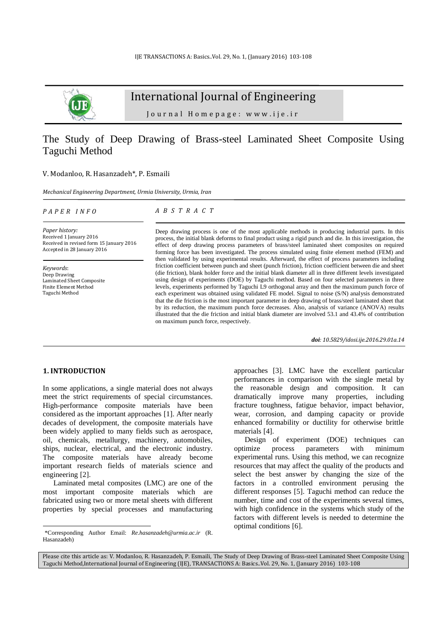

# International Journal of Engineering

J o u r n a l H o m e p a g e : w w w . i j e . i r

## The Study of Deep Drawing of Brass-steel Laminated Sheet Composite Using Taguchi Method

#### V. Modanloo, R. Hasanzadeh\*, P. Esmaili

*Mechanical Engineering Department, Urmia University, Urmia, Iran*

*P A P E R I N F O*

*A B S T R A C T*

*Paper history:* Received 1 January 2016 Received in revised form 15 January 2016 Accepted in 28 January 2016

*Keywords*: Deep Drawing Laminated Sheet Composite Finite Element Method Taguchi Method

Deep drawing process is one of the most applicable methods in producing industrial parts. In this process, the initial blank deforms to final product using a rigid punch and die. In this investigation, the effect of deep drawing process parameters of brass/steel laminated sheet composites on required forming force has been investigated. The process simulated using finite element method (FEM) and then validated by using experimental results. Afterward, the effect of process parameters including friction coefficient between punch and sheet (punch friction), friction coefficient between die and sheet (die friction), blank holder force and the initial blank diameter all in three different levels investigated using design of experiments (DOE) by Taguchi method. Based on four selected parameters in three levels, experiments performed by Taguchi L9 orthogonal array and then the maximum punch force of each experiment was obtained using validated FE model. Signal to noise (S/N) analysis demonstrated that the die friction is the most important parameter in deep drawing of brass/steel laminated sheet that by its reduction, the maximum punch force decreases. Also, analysis of variance (ANOVA) results illustrated that the die friction and initial blank diameter are involved 53.1 and 43.4% of contribution on maximum punch force, respectively.

*doi: 10.5829/idosi.ije.2016.29.01a.14*

### **1. INTRODUCTION<sup>1</sup>**

 $\overline{a}$ 

In some applications, a single material does not always meet the strict requirements of special circumstances. High-performance composite materials have been considered as the important approaches [\[1\]](#page-4-0). After nearly decades of development, the composite materials have been widely applied to many fields such as aerospace, oil, chemicals, metallurgy, machinery, automobiles, ships, nuclear, electrical, and the electronic industry. The composite materials have already become important research fields of materials science and engineering [\[2\]](#page-4-1).

Laminated metal composites (LMC) are one of the most important composite materials which are fabricated using two or more metal sheets with different properties by special processes and manufacturing

approaches [\[3\]](#page-4-2). LMC have the excellent particular performances in comparison with the single metal by the reasonable design and composition. It can dramatically improve many properties, including fracture toughness, fatigue behavior, impact behavior, wear, corrosion, and damping capacity or provide enhanced formability or ductility for otherwise brittle materials [\[4\]](#page-4-3).

Design of experiment (DOE) techniques can optimize process parameters with minimum experimental runs. Using this method, we can recognize resources that may affect the quality of the products and select the best answer by changing the size of the factors in a controlled environment perusing the different responses [\[5\]](#page-4-4). Taguchi method can reduce the number, time and cost of the experiments several times, with high confidence in the systems which study of the factors with different levels is needed to determine the optimal conditions [\[6\]](#page-4-5).

Please cite this article as: V. Modanloo, R. Hasanzadeh, P. Esmaili, The Study of Deep Drawing of Brass-steel Laminated Sheet Composite Using Taguchi Method,International Journal of Engineering (IJE), TRANSACTIONS A: Basics..Vol. 29, No. 1, (January 2016) 103-108

<sup>1</sup> \*Corresponding Author Email: *Re.hasanzadeh@urmia.ac.ir* (R. Hasanzadeh)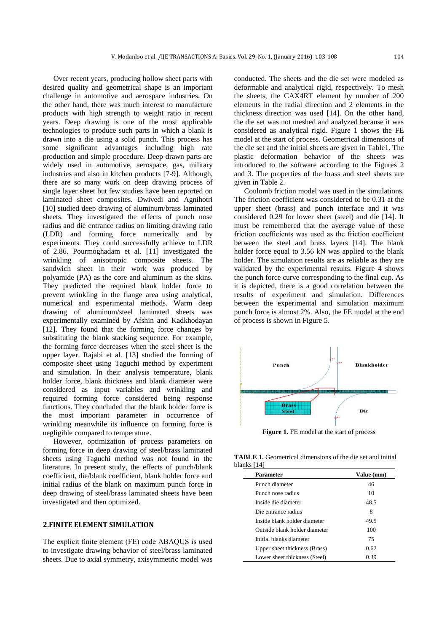Over recent years, producing hollow sheet parts with desired quality and geometrical shape is an important challenge in automotive and aerospace industries. On the other hand, there was much interest to manufacture products with high strength to weight ratio in recent years. Deep drawing is one of the most applicable technologies to produce such parts in which a blank is drawn into a die using a solid punch. This process has some significant advantages including high rate production and simple procedure. Deep drawn parts are widely used in automotive, aerospace, gas, military industries and also in kitchen products [\[7-9\]](#page-4-6). Although, there are so many work on deep drawing process of single layer sheet but few studies have been reported on laminated sheet composites. Dwivedi and Agnihotri [\[10\]](#page-4-7) studied deep drawing of aluminum/brass laminated sheets. They investigated the effects of punch nose radius and die entrance radius on limiting drawing ratio (LDR) and forming force numerically and by experiments. They could successfully achieve to LDR of 2.86. Pourmoghadam et al. [\[11\]](#page-4-8) investigated the wrinkling of anisotropic composite sheets. The sandwich sheet in their work was produced by polyamide (PA) as the core and aluminum as the skins. They predicted the required blank holder force to prevent wrinkling in the flange area using analytical, numerical and experimental methods. Warm deep drawing of aluminum/steel laminated sheets was experimentally examined by Afshin and Kadkhodayan [\[12\]](#page-4-9). They found that the forming force changes by substituting the blank stacking sequence. For example, the forming force decreases when the steel sheet is the upper layer. Rajabi et al. [\[13\]](#page-4-10) studied the forming of composite sheet using Taguchi method by experiment and simulation. In their analysis temperature, blank holder force, blank thickness and blank diameter were considered as input variables and wrinkling and required forming force considered being response functions. They concluded that the blank holder force is the most important parameter in occurrence of wrinkling meanwhile its influence on forming force is negligible compared to temperature.

However, optimization of process parameters on forming force in deep drawing of steel/brass laminated sheets using Taguchi method was not found in the literature. In present study, the effects of punch/blank coefficient, die/blank coefficient, blank holder force and initial radius of the blank on maximum punch force in deep drawing of steel/brass laminated sheets have been investigated and then optimized.

### **2.FINITE ELEMENT SIMULATION**

The explicit finite element (FE) code ABAQUS is used to investigate drawing behavior of steel/brass laminated sheets. Due to axial symmetry, axisymmetric model was conducted. The sheets and the die set were modeled as deformable and analytical rigid, respectively. To mesh the sheets, the CAX4RT element by number of 200 elements in the radial direction and 2 elements in the thickness direction was used [\[14\]](#page-4-11). On the other hand, the die set was not meshed and analyzed because it was considered as analytical rigid. Figure 1 shows the FE model at the start of process. Geometrical dimensions of the die set and the initial sheets are given in Table1. The plastic deformation behavior of the sheets was introduced to the software according to the Figures 2 and 3. The properties of the brass and steel sheets are given in Table 2.

Coulomb friction model was used in the simulations. The friction coefficient was considered to be 0.31 at the upper sheet (brass) and punch interface and it was considered 0.29 for lower sheet (steel) and die [14]. It must be remembered that the average value of these friction coefficients was used as the friction coefficient between the steel and brass layers [14]. The blank holder force equal to 3.56 kN was applied to the blank holder. The simulation results are as reliable as they are validated by the experimental results. Figure 4 shows the punch force curve corresponding to the final cup. As it is depicted, there is a good correlation between the results of experiment and simulation. Differences between the experimental and simulation maximum punch force is almost 2%. Also, the FE model at the end of process is shown in Figure 5.



**Figure 1.** FE model at the start of process

**TABLE 1.** Geometrical dimensions of the die set and initial blanks [14]

| Parameter                     | Value (mm) |
|-------------------------------|------------|
| Punch diameter                | 46         |
| Punch nose radius             | 10         |
| Inside die diameter           | 48.5       |
| Die entrance radius           | 8          |
| Inside blank holder diameter  | 49.5       |
| Outside blank holder diameter | 100        |
| Initial blanks diameter       | 75         |
| Upper sheet thickness (Brass) | 0.62       |
| Lower sheet thickness (Steel) | 0.39       |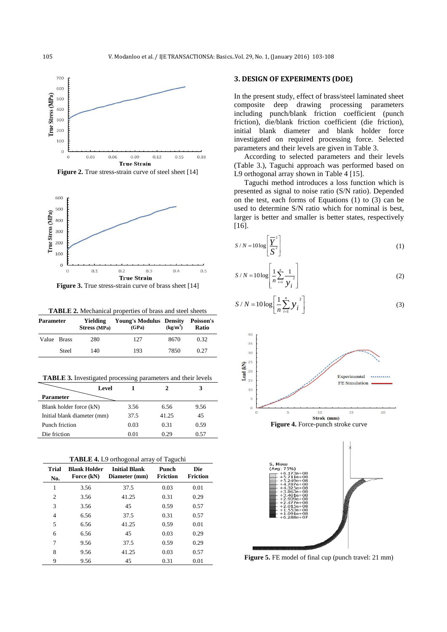

Figure 2. True stress-strain curve of steel sheet [14]



**Figure 3.** True stress-strain curve of brass sheet [14]

**TABLE 2.** Mechanical properties of brass and steel sheets

| Parameter   |       | Yielding<br>Stress (MPa) | <b>Young's Modulus Density</b><br>(GPa) | $(kg/m^3)$ | Poisson's<br><b>Ratio</b> |
|-------------|-------|--------------------------|-----------------------------------------|------------|---------------------------|
| Value Brass |       | 280                      | 127                                     | 8670       | 0.32                      |
|             | Steel | 140                      | 193                                     | 7850       | 0.27                      |

**TABLE 3.** Investigated processing parameters and their levels

|                             | Level |      |       |      |
|-----------------------------|-------|------|-------|------|
| <b>Parameter</b>            |       |      |       |      |
| Blank holder force (kN)     |       | 3.56 | 6.56  | 9.56 |
| Initial blank diameter (mm) |       | 37.5 | 41.25 | 45   |
| Punch friction              |       | 0.03 | 0.31  | 0.59 |
| Die friction                |       | 0.01 | 0.29  | 0.57 |

**TABLE 4.** L9 orthogonal array of Taguchi

| Trial<br>No.   | <b>Blank Holder</b><br>Force (kN) | <b>Initial Blank</b><br>Diameter (mm) | Punch<br><b>Friction</b> | Die<br><b>Friction</b> |
|----------------|-----------------------------------|---------------------------------------|--------------------------|------------------------|
| 1              | 3.56                              | 37.5                                  | 0.03                     | 0.01                   |
| $\overline{2}$ | 3.56                              | 41.25                                 | 0.31                     | 0.29                   |
| 3              | 3.56                              | 45                                    | 0.59                     | 0.57                   |
| 4              | 6.56                              | 37.5                                  | 0.31                     | 0.57                   |
| 5              | 6.56                              | 41.25                                 | 0.59                     | 0.01                   |
| 6              | 6.56                              | 45                                    | 0.03                     | 0.29                   |
| 7              | 9.56                              | 37.5                                  | 0.59                     | 0.29                   |
| 8              | 9.56                              | 41.25                                 | 0.03                     | 0.57                   |
| 9              | 9.56                              | 45                                    | 0.31                     | 0.01                   |

#### **3. DESIGN OF EXPERIMENTS (DOE)**

In the present study, effect of brass/steel laminated sheet composite deep drawing processing parameters including punch/blank friction coefficient (punch friction), die/blank friction coefficient (die friction), initial blank diameter and blank holder force investigated on required processing force. Selected parameters and their levels are given in Table 3.

According to selected parameters and their levels (Table 3.), Taguchi approach was performed based on L9 orthogonal array shown in Table 4 [\[15\]](#page-4-12).

Taguchi method introduces a loss function which is presented as signal to noise ratio (S/N ratio). Depended on the test, each forms of Equations (1) to (3) can be used to determine S/N ratio which for nominal is best, larger is better and smaller is better states, respectively [\[16\]](#page-4-13).

$$
S/N = 10\log\left[\frac{\overline{Y}^2}{S^2}\right]
$$
 (1)

$$
S/N = 10 \log \left[ \frac{1}{n} \sum_{i=1}^{n} \frac{1}{y_i^2} \right]
$$
 (2)

$$
S/N = 10\log\left[\frac{1}{n}\sum_{i=1}^{n} y_i\right]
$$
 (3)





**Figure 5.** FE model of final cup (punch travel: 21 mm)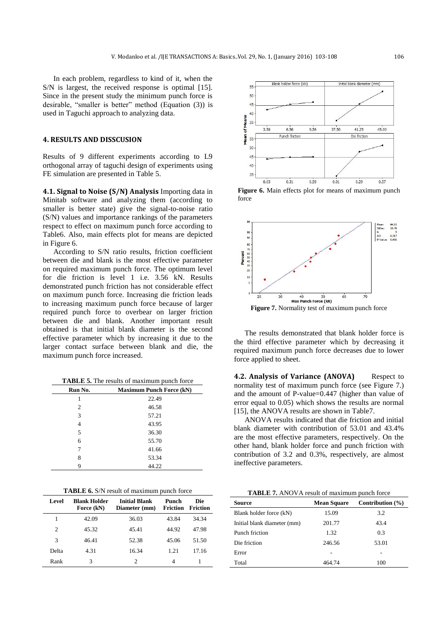In each problem, regardless to kind of it, when the S/N is largest, the received response is optimal [15]. Since in the present study the minimum punch force is desirable, "smaller is better" method (Equation (3)) is used in Taguchi approach to analyzing data.

#### **4. RESULTS AND DISSCUSION**

Results of 9 different experiments according to L9 orthogonal array of taguchi design of experiments using FE simulation are presented in Table 5.

**4.1. Signal to Noise (S/N) Analysis** Importing data in Minitab software and analyzing them (according to smaller is better state) give the signal-to-noise ratio (S/N) values and importance rankings of the parameters respect to effect on maximum punch force according to Table6. Also, main effects plot for means are depicted in Figure 6.

According to S/N ratio results, friction coefficient between die and blank is the most effective parameter on required maximum punch force. The optimum level for die friction is level 1 i.e. 3.56 kN. Results demonstrated punch friction has not considerable effect on maximum punch force. Increasing die friction leads to increasing maximum punch force because of larger required punch force to overbear on larger friction between die and blank. Another important result obtained is that initial blank diameter is the second effective parameter which by increasing it due to the larger contact surface between blank and die, the maximum punch force increased.

**TABLE 5.** The results of maximum punch force

| Run No. | <b>Maximum Punch Force (kN)</b> |
|---------|---------------------------------|
|         | 22.49                           |
| 2       | 46.58                           |
| 3       | 57.21                           |
| 4       | 43.95                           |
| 5       | 36.30                           |
| 6       | 55.70                           |
| 7       | 41.66                           |
| 8       | 53.34                           |
| 9       | 44.22                           |

|  |  | <b>TABLE 6.</b> S/N result of maximum punch force |
|--|--|---------------------------------------------------|
|  |  |                                                   |

| Level | <b>Blank Holder</b><br>Force (kN) | Initial Blank<br>Diameter (mm) | Punch<br><b>Friction</b> | Die<br>Friction |
|-------|-----------------------------------|--------------------------------|--------------------------|-----------------|
|       | 42.09                             | 36.03                          | 43.84                    | 34.34           |
| 2     | 45.32                             | 45.41                          | 44.92                    | 47.98           |
| 3     | 46.41                             | 52.38                          | 45.06                    | 51.50           |
| Delta | 4.31                              | 16.34                          | 1.21                     | 17.16           |
| Rank  | 3                                 | 2                              | 4                        |                 |



**Figure 6.** Main effects plot for means of maximum punch force



The results demonstrated that blank holder force is the third effective parameter which by decreasing it required maximum punch force decreases due to lower force applied to sheet.

**4.2. Analysis of Variance (ANOVA)** Respect to normality test of maximum punch force (see Figure 7.) and the amount of P-value=0.447 (higher than value of error equal to 0.05) which shows the results are normal [15], the ANOVA results are shown in Table7.

ANOVA results indicated that die friction and initial blank diameter with contribution of 53.01 and 43.4% are the most effective parameters, respectively. On the other hand, blank holder force and punch friction with contribution of 3.2 and 0.3%, respectively, are almost ineffective parameters.

**TABLE 7.** ANOVA result of maximum punch force

| Source                      | <b>Mean Square</b> | Contribution $(\% )$ |
|-----------------------------|--------------------|----------------------|
| Blank holder force (kN)     | 15.09              | 3.2                  |
| Initial blank diameter (mm) | 201.77             | 43.4                 |
| Punch friction              | 1.32               | 0.3                  |
| Die friction                | 246.56             | 53.01                |
| Error                       |                    |                      |
| Total                       | 464 74             | 100                  |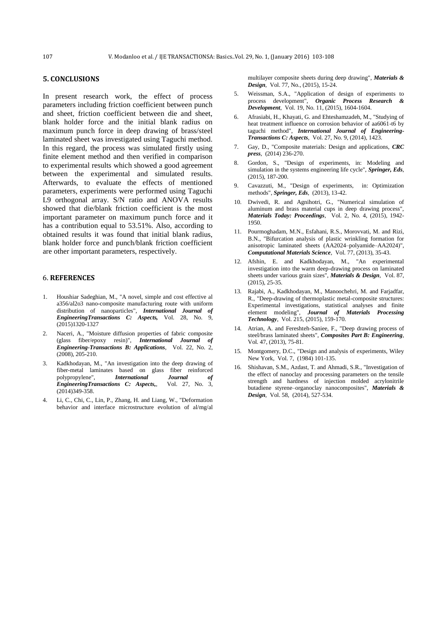### **5. CONCLUSIONS**

In present research work, the effect of process parameters including friction coefficient between punch and sheet, friction coefficient between die and sheet, blank holder force and the initial blank radius on maximum punch force in deep drawing of brass/steel laminated sheet was investigated using Taguchi method. In this regard, the process was simulated firstly using finite element method and then verified in comparison to experimental results which showed a good agreement between the experimental and simulated results. Afterwards, to evaluate the effects of mentioned parameters, experiments were performed using Taguchi L9 orthogonal array. S/N ratio and ANOVA results showed that die/blank friction coefficient is the most important parameter on maximum punch force and it has a contribution equal to 53.51%. Also, according to obtained results it was found that initial blank radius, blank holder force and punch/blank friction coefficient are other important parameters, respectively.

#### 6. **REFERENCES**

- <span id="page-4-0"></span>1. Houshiar Sadeghian, M., "A novel, simple and cost effective al a356/al2o3 nano-composite manufacturing route with uniform distribution of nanoparticles", *International Journal of EngineeringTransactions C: Aspects,* Vol. 28, No. 9, (2015)1320-1327
- <span id="page-4-1"></span>2. Naceri, A., "Moisture diffusion properties of fabric composite (glass fiber/epoxy resin)", *International Journal of Engineering-Transactions B: Applications*, Vol. 22, No. 2, (2008), 205-210.
- <span id="page-4-2"></span>3. Kadkhodayan, M., "An investigation into the deep drawing of fiber-metal laminates based on glass fiber reinforced polypropylene", *International Journal of EngineeringTransactions C: Aspects..* (2014)349-358.
- <span id="page-4-3"></span>4. Li, C., Chi, C., Lin, P., Zhang, H. and Liang, W., "Deformation behavior and interface microstructure evolution of al/mg/al

multilayer composite sheets during deep drawing", *Materials & Design*, Vol. 77, No., (2015), 15-24.

- <span id="page-4-4"></span>5. Weissman, S.A., "Application of design of experiments to process development", *Organic Process Research & Development*, Vol. 19, No. 11, (2015), 1604-1604.
- <span id="page-4-5"></span>6. Afrasiabi, H., Khayati, G. and Ehteshamzadeh, M., "Studying of heat treatment influence on corrosion behavior of aa6061-t6 by taguchi method", *International Journal of Engineering-Transactions C: Aspects*, Vol. 27, No. 9, (2014), 1423.
- <span id="page-4-6"></span>7. Gay, D., "Composite materials: Design and applications, *CRC press*, (2014) 236-270.
- 8. Gordon, S., "Design of experiments, in: Modeling and simulation in the systems engineering life cycle", *Springer, Eds*, (2015), 187-200.
- 9. Cavazzuti, M., "Design of experiments, in: Optimization methods", *Springer, Eds*, (2013), 13-42.
- <span id="page-4-7"></span>10. Dwivedi, R. and Agnihotri, G., "Numerical simulation of aluminum and brass material cups in deep drawing process", *Materials Today: Proceedings*, Vol. 2, No. 4, (2015), 1942- 1950.
- <span id="page-4-8"></span>11. Pourmoghadam, M.N., Esfahani, R.S., Morovvati, M. and Rizi, B.N., "Bifurcation analysis of plastic wrinkling formation for anisotropic laminated sheets (AA2024–polyamide–AA2024)", *Computational Materials Science*, Vol. 77, (2013), 35-43.
- <span id="page-4-9"></span>12. Afshin, E. and Kadkhodayan, M., "An experimental investigation into the warm deep-drawing process on laminated sheets under various grain sizes", *Materials & Design*, Vol. 87, (2015), 25-35.
- <span id="page-4-10"></span>13. Rajabi, A., Kadkhodayan, M., Manoochehri, M. and Farjadfar, R., "Deep-drawing of thermoplastic metal-composite structures: Experimental investigations, statistical analyses and finite element modeling", *Journal of Materials Processing Technology*, Vol. 215, (2015), 159-170.
- <span id="page-4-11"></span>14. Atrian, A. and Fereshteh-Saniee, F., "Deep drawing process of steel/brass laminated sheets", *Composites Part B: Engineering*, Vol. 47, (2013), 75-81.
- <span id="page-4-12"></span>15. Montgomery, D.C., "Design and analysis of experiments, Wiley New York, Vol. 7, (1984) 101-135.
- <span id="page-4-13"></span>16. Shishavan, S.M., Azdast, T. and Ahmadi, S.R., "Investigation of the effect of nanoclay and processing parameters on the tensile strength and hardness of injection molded acrylonitrile butadiene styrene–organoclay nanocomposites", *Materials & Design*, Vol. 58, (2014), 527-534.